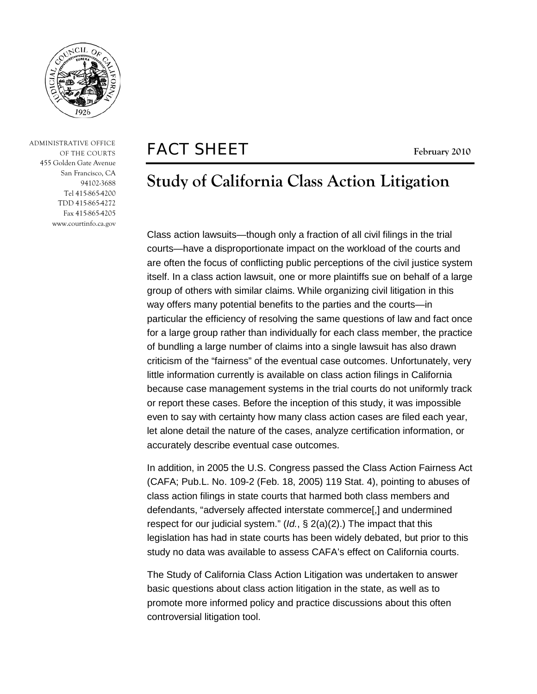

 ADMINISTRATIVE OFFICE OF THE COURTS 455 Golden Gate Avenue San Francisco, CA 94102-3688 Tel 415-865-4200 TDD 415-865-4272 Fax 415-865-4205 www.courtinfo.ca.gov

# FACT SHEET **February <sup>2010</sup>**

# **Study of California Class Action Litigation**

Class action lawsuits—though only a fraction of all civil filings in the trial courts—have a disproportionate impact on the workload of the courts and are often the focus of conflicting public perceptions of the civil justice system itself. In a class action lawsuit, one or more plaintiffs sue on behalf of a large group of others with similar claims. While organizing civil litigation in this way offers many potential benefits to the parties and the courts—in particular the efficiency of resolving the same questions of law and fact once for a large group rather than individually for each class member, the practice of bundling a large number of claims into a single lawsuit has also drawn criticism of the "fairness" of the eventual case outcomes. Unfortunately, very little information currently is available on class action filings in California because case management systems in the trial courts do not uniformly track or report these cases. Before the inception of this study, it was impossible even to say with certainty how many class action cases are filed each year, let alone detail the nature of the cases, analyze certification information, or accurately describe eventual case outcomes.

In addition, in 2005 the U.S. Congress passed the Class Action Fairness Act (CAFA; Pub.L. No. 109-2 (Feb. 18, 2005) 119 Stat. 4), pointing to abuses of class action filings in state courts that harmed both class members and defendants, "adversely affected interstate commerce[,] and undermined respect for our judicial system." (*Id.*, § 2(a)(2).) The impact that this legislation has had in state courts has been widely debated, but prior to this study no data was available to assess CAFA's effect on California courts.

The Study of California Class Action Litigation was undertaken to answer basic questions about class action litigation in the state, as well as to promote more informed policy and practice discussions about this often controversial litigation tool.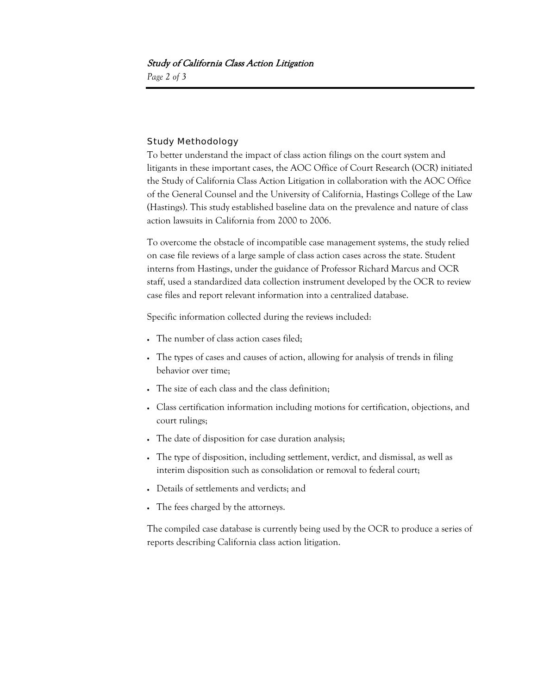## Study of California Class Action Litigation

*Page 2 of 3*

### Study Methodology

To better understand the impact of class action filings on the court system and litigants in these important cases, the AOC Office of Court Research (OCR) initiated the Study of California Class Action Litigation in collaboration with the AOC Office of the General Counsel and the University of California, Hastings College of the Law (Hastings). This study established baseline data on the prevalence and nature of class action lawsuits in California from 2000 to 2006.

To overcome the obstacle of incompatible case management systems, the study relied on case file reviews of a large sample of class action cases across the state. Student interns from Hastings, under the guidance of Professor Richard Marcus and OCR staff, used a standardized data collection instrument developed by the OCR to review case files and report relevant information into a centralized database.

Specific information collected during the reviews included:

- The number of class action cases filed;
- The types of cases and causes of action, allowing for analysis of trends in filing behavior over time;
- The size of each class and the class definition;
- Class certification information including motions for certification, objections, and court rulings;
- The date of disposition for case duration analysis;
- The type of disposition, including settlement, verdict, and dismissal, as well as interim disposition such as consolidation or removal to federal court;
- Details of settlements and verdicts; and
- The fees charged by the attorneys.

The compiled case database is currently being used by the OCR to produce a series of reports describing California class action litigation.